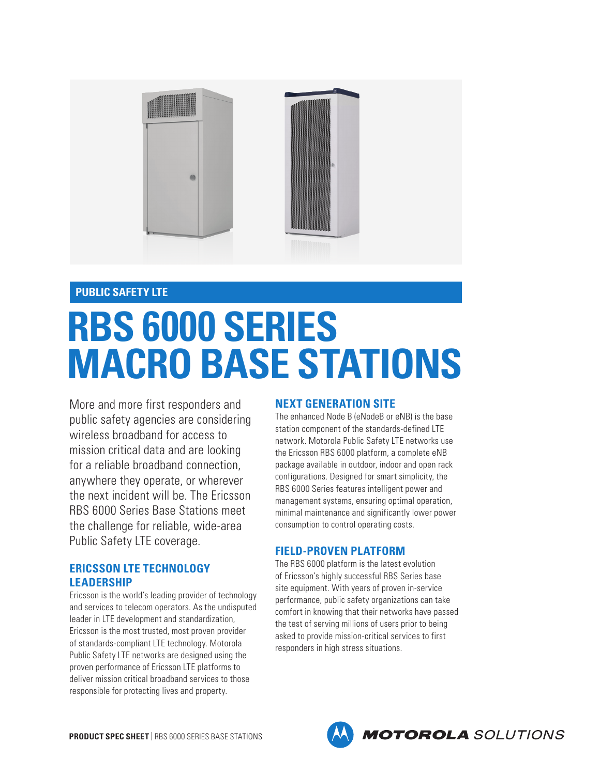

## **PUBLIC SAFETY LTE**

# **RBS 6000 SERIES MACRO BASE STATIONS**

More and more first responders and public safety agencies are considering wireless broadband for access to mission critical data and are looking for a reliable broadband connection, anywhere they operate, or wherever the next incident will be. The Ericsson RBS 6000 Series Base Stations meet the challenge for reliable, wide-area Public Safety LTE coverage.

# **ERICSSON LTE TECHNOLOGY LEADERSHIP**

Ericsson is the world's leading provider of technology and services to telecom operators. As the undisputed leader in LTE development and standardization, Ericsson is the most trusted, most proven provider of standards-compliant LTE technology. Motorola Public Safety LTE networks are designed using the proven performance of Ericsson LTE platforms to deliver mission critical broadband services to those responsible for protecting lives and property.

## **NEXT GENERATION SITE**

The enhanced Node B (eNodeB or eNB) is the base station component of the standards-defined LTE network. Motorola Public Safety LTE networks use the Ericsson RBS 6000 platform, a complete eNB package available in outdoor, indoor and open rack configurations. Designed for smart simplicity, the RBS 6000 Series features intelligent power and management systems, ensuring optimal operation, minimal maintenance and significantly lower power consumption to control operating costs.

## **FIELD-PROVEN PLATFORM**

The RBS 6000 platform is the latest evolution of Ericsson's highly successful RBS Series base site equipment. With years of proven in-service performance, public safety organizations can take comfort in knowing that their networks have passed the test of serving millions of users prior to being asked to provide mission-critical services to first responders in high stress situations.

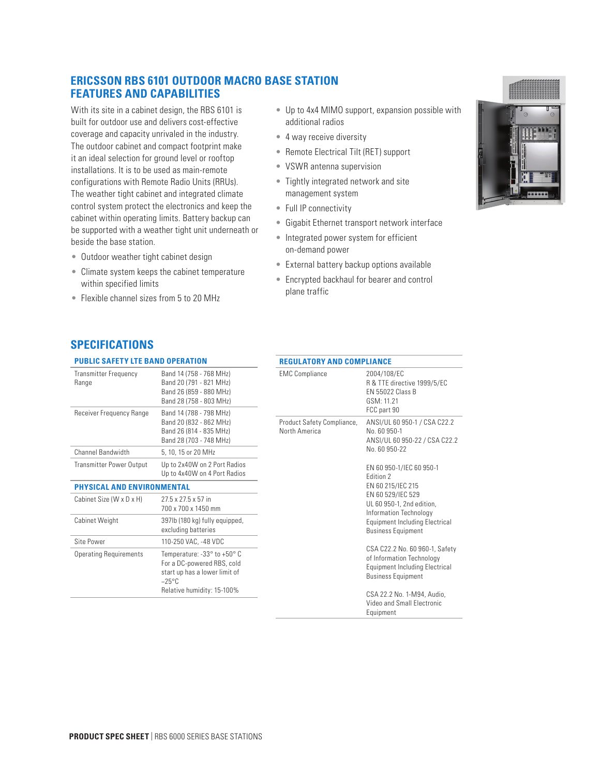## **ERICSSON RBS 6101 OUTDOOR MACRO BASE STATION FEATURES AND CAPABILITIES**

With its site in a cabinet design, the RBS 6101 is built for outdoor use and delivers cost-effective coverage and capacity unrivaled in the industry. The outdoor cabinet and compact footprint make it an ideal selection for ground level or rooftop installations. It is to be used as main-remote configurations with Remote Radio Units (RRUs). The weather tight cabinet and integrated climate control system protect the electronics and keep the cabinet within operating limits. Battery backup can be supported with a weather tight unit underneath or beside the base station.

- Outdoor weather tight cabinet design
- Climate system keeps the cabinet temperature within specified limits
- Flexible channel sizes from 5 to 20 MHz
- Up to 4x4 MIMO support, expansion possible with additional radios
- 4 way receive diversity
- Remote Electrical Tilt (RET) support
- VSWR antenna supervision
- Tightly integrated network and site management system
- Full IP connectivity
- Gigabit Ethernet transport network interface
- Integrated power system for efficient on-demand power
- External battery backup options available
- Encrypted backhaul for bearer and control plane traffic

## **SPECIFICATIONS**

#### **PUBLIC SAFETY LTE BAND OPERATION** Transmitter Frequency Range Band 14 (758 - 768 MHz) Band 20 (791 - 821 MHz) Band 26 (859 - 880 MHz) Band 28 (758 - 803 MHz) Receiver Frequency Range Band 14 (788 - 798 MHz) Band 20 (832 - 862 MHz) Band 26 (814 - 835 MHz) Band 28 (703 - 748 MHz) Channel Bandwidth 5, 10, 15 or 20 MHz Transmitter Power Output Up to 2x40W on 2 Port Radios Up to 4x40W on 4 Port Radios **PHYSICAL AND ENVIRONMENTAL**

| <b>Operating Requirements</b> | Temperature: $-33^\circ$ to $+50^\circ$ C<br>For a DC-powered RBS, cold<br>start up has a lower limit of<br>$-25^{\circ}$ C<br>Relative humidity: 15-100% |
|-------------------------------|-----------------------------------------------------------------------------------------------------------------------------------------------------------|
| Site Power                    | 110-250 VAC. -48 VDC                                                                                                                                      |
| <b>Cabinet Weight</b>         | 397lb (180 kg) fully equipped,<br>excluding batteries                                                                                                     |
| Cabinet Size (W x D x H)      | $27.5 \times 27.5 \times 57$ in<br>700 x 700 x 1450 mm                                                                                                    |

### **REGULATORY AND COMPLIANCE** EMC Compliance 2004/108/EC R & TTE directive 1999/5/EC EN 55022 Class B GSM: 11.21 FCC part 90 Product Safety Compliance, North America ANSI/UL 60 950-1 / CSA C22.2 No. 60 950-1 ANSI/UL 60 950-22 / CSA C22.2 No. 60 950-22 EN 60 950-1/IEC 60 950-1 Edition 2 EN 60 215/IEC 215 EN 60 529/IEC 529 UL 60 950-1, 2nd edition, Information Technology Equipment Including Electrical Business Equipment CSA C22.2 No. 60 960-1, Safety of Information Technology Equipment Including Electrical Business Equipment CSA 22.2 No. 1-M94, Audio, Video and Small Electronic

Equipment

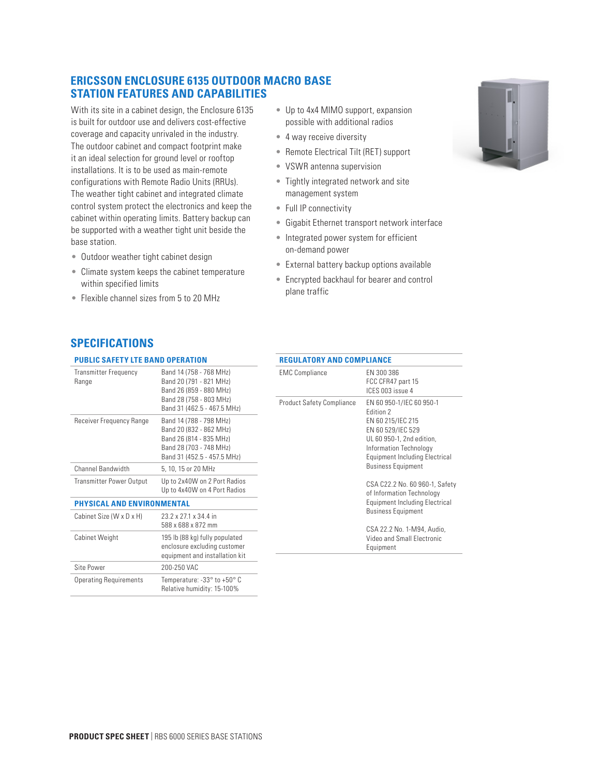## **ERICSSON ENCLOSURE 6135 OUTDOOR MACRO BASE STATION FEATURES AND CAPABILITIES**

With its site in a cabinet design, the Enclosure 6135 is built for outdoor use and delivers cost-effective coverage and capacity unrivaled in the industry. The outdoor cabinet and compact footprint make it an ideal selection for ground level or rooftop installations. It is to be used as main-remote configurations with Remote Radio Units (RRUs). The weather tight cabinet and integrated climate control system protect the electronics and keep the cabinet within operating limits. Battery backup can be supported with a weather tight unit beside the base station.

- Outdoor weather tight cabinet design
- Climate system keeps the cabinet temperature within specified limits
- Flexible channel sizes from 5 to 20 MHz
- Up to 4x4 MIMO support, expansion possible with additional radios
- 4 way receive diversity
- Remote Electrical Tilt (RET) support
- VSWR antenna supervision
- Tightly integrated network and site management system
- Full IP connectivity
- Gigabit Ethernet transport network interface
- Integrated power system for efficient on-demand power
- External battery backup options available
- Encrypted backhaul for bearer and control plane traffic

## **SPECIFICATIONS**

## **PUBLIC SAFETY LTE BAND OPERATION**

| <b>Transmitter Frequency</b><br>Range | Band 14 (758 - 768 MHz)<br>Band 20 (791 - 821 MHz)<br>Band 26 (859 - 880 MHz)<br>Band 28 (758 - 803 MHz)<br>Band 31 (462.5 - 467.5 MHz) | FМ<br>Pro |
|---------------------------------------|-----------------------------------------------------------------------------------------------------------------------------------------|-----------|
| Receiver Frequency Range              | Band 14 (788 - 798 MHz)<br>Band 20 (832 - 862 MHz)<br>Band 26 (814 - 835 MHz)<br>Band 28 (703 - 748 MHz)<br>Band 31 (452.5 - 457.5 MHz) |           |
| <b>Channel Bandwidth</b>              | 5, 10, 15 or 20 MHz                                                                                                                     |           |
| <b>Transmitter Power Output</b>       | Up to 2x40W on 2 Port Radios<br>Up to 4x40W on 4 Port Radios                                                                            |           |
| PHYSICAL AND ENVIRONMENTAL            |                                                                                                                                         |           |

| Cabinet Size (W x D x H)      | 23.2 x 27.1 x 34.4 in<br>588 x 688 x 872 mm                                                      |
|-------------------------------|--------------------------------------------------------------------------------------------------|
| <b>Cabinet Weight</b>         | 195 lb (88 kg) fully populated<br>enclosure excluding customer<br>equipment and installation kit |
| Site Power                    | 200-250 VAC                                                                                      |
| <b>Operating Requirements</b> | Temperature: $-33^\circ$ to $+50^\circ$ C<br>Relative humidity: 15-100%                          |

| <b>REGULATORY AND COMPLIANCE</b> |                                                                                                                                                                                                                                                                                                                                                                                                              |  |
|----------------------------------|--------------------------------------------------------------------------------------------------------------------------------------------------------------------------------------------------------------------------------------------------------------------------------------------------------------------------------------------------------------------------------------------------------------|--|
| <b>EMC Compliance</b>            | EN 300 386<br>FCC CFR47 part 15<br>ICES 003 issue 4                                                                                                                                                                                                                                                                                                                                                          |  |
| <b>Product Safety Compliance</b> | EN 60 950-1/IEC 60 950-1<br>Edition 2<br>EN 60 215/IEC 215<br>EN 60 529/IEC 529<br>UL 60 950-1, 2nd edition,<br>Information Technology<br>Equipment Including Electrical<br><b>Business Equipment</b><br>CSA C22.2 No. 60 960-1, Safety<br>of Information Technology<br>Equipment Including Electrical<br><b>Business Equipment</b><br>CSA 22.2 No. 1-M94, Audio,<br>Video and Small Electronic<br>Equipment |  |
|                                  |                                                                                                                                                                                                                                                                                                                                                                                                              |  |

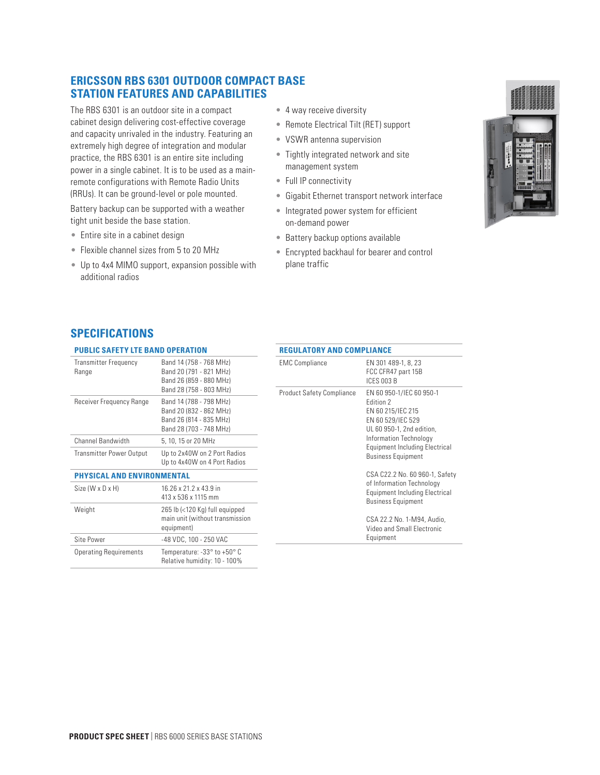## **ERICSSON RBS 6301 OUTDOOR COMPACT BASE STATION FEATURES AND CAPABILITIES**

The RBS 6301 is an outdoor site in a compact cabinet design delivering cost-effective coverage and capacity unrivaled in the industry. Featuring an extremely high degree of integration and modular practice, the RBS 6301 is an entire site including power in a single cabinet. It is to be used as a mainremote configurations with Remote Radio Units (RRUs). It can be ground-level or pole mounted.

Battery backup can be supported with a weather tight unit beside the base station.

- Entire site in a cabinet design
- Flexible channel sizes from 5 to 20 MHz
- Up to 4x4 MIMO support, expansion possible with additional radios
- 4 way receive diversity
- Remote Electrical Tilt (RET) support
- VSWR antenna supervision
- Tightly integrated network and site management system
- Full IP connectivity
- Gigabit Ethernet transport network interface
- Integrated power system for efficient on-demand power
- Battery backup options available
- Encrypted backhaul for bearer and control plane traffic



# **SPECIFICATIONS**

## **PUBLIC SAFETY LTE BAND OPERATION**

| Transmitter Frequency<br>Range    | Band 14 (758 - 768 MHz)<br>Band 20 (791 - 821 MHz)<br>Band 26 (859 - 880 MHz)<br>Band 28 (758 - 803 MHz) | <b>EMC Comp</b><br>Product Sat |
|-----------------------------------|----------------------------------------------------------------------------------------------------------|--------------------------------|
| Receiver Frequency Range          | Band 14 (788 - 798 MHz)<br>Band 20 (832 - 862 MHz)<br>Band 26 (814 - 835 MHz)<br>Band 28 (703 - 748 MHz) |                                |
| Channel Bandwidth                 | 5, 10, 15 or 20 MHz                                                                                      |                                |
| <b>Transmitter Power Output</b>   | Up to 2x40W on 2 Port Radios<br>Up to 4x40W on 4 Port Radios                                             |                                |
| <b>PHYSICAL AND ENVIRONMENTAL</b> |                                                                                                          |                                |
| Size (W x D x H)                  | 16.26 x 21.2 x 43.9 in<br>413 x 536 x 1115 mm                                                            |                                |
| Weight                            | 265 lb (<120 Kg) full equipped<br>main unit (without transmission<br>equipment)                          |                                |
| Site Power                        | -48 VDC, 100 - 250 VAC                                                                                   |                                |
| <b>Operating Requirements</b>     | Temperature: -33° to +50° C<br>Relative humidity: 10 - 100%                                              |                                |

| <b>EMC Compliance</b>            | EN 301 489-1, 8, 23<br>FCC CFR47 part 15B<br>ICES 003 B                                                                                                                                                                                                                                                                                                                                                                    |
|----------------------------------|----------------------------------------------------------------------------------------------------------------------------------------------------------------------------------------------------------------------------------------------------------------------------------------------------------------------------------------------------------------------------------------------------------------------------|
| <b>Product Safety Compliance</b> | EN 60 950-1/IEC 60 950-1<br>Fdition 2<br>EN 60 215/IEC 215<br>EN 60 529/IEC 529<br>UL 60 950-1, 2nd edition,<br>Information Technology<br><b>Equipment Including Electrical</b><br><b>Business Equipment</b><br>CSA C22.2 No. 60 960-1, Safety<br>of Information Technology<br><b>Equipment Including Electrical</b><br><b>Business Equipment</b><br>CSA 22.2 No. 1-M94, Audio,<br>Video and Small Electronic<br>Equipment |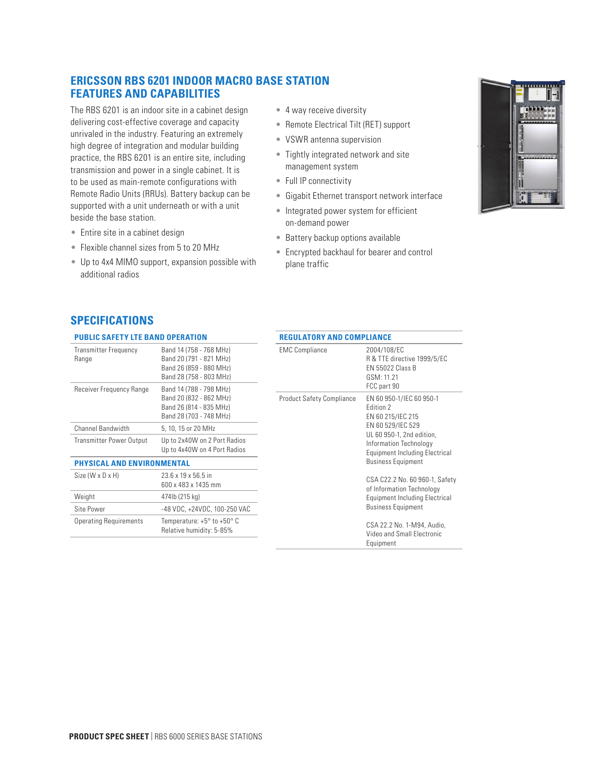# **ERICSSON RBS 6201 INDOOR MACRO BASE STATION FEATURES AND CAPABILITIES**

The RBS 6201 is an indoor site in a cabinet design delivering cost-effective coverage and capacity unrivaled in the industry. Featuring an extremely high degree of integration and modular building practice, the RBS 6201 is an entire site, including transmission and power in a single cabinet. It is to be used as main-remote configurations with Remote Radio Units (RRUs). Battery backup can be supported with a unit underneath or with a unit beside the base station.

- Entire site in a cabinet design
- Flexible channel sizes from 5 to 20 MHz
- Up to 4x4 MIMO support, expansion possible with additional radios
- 4 way receive diversity
- Remote Electrical Tilt (RET) support
- VSWR antenna supervision
- Tightly integrated network and site management system
- Full IP connectivity
- Gigabit Ethernet transport network interface
- Integrated power system for efficient on-demand power
- Battery backup options available

**REGULATORY AND COMPLIANCE**

• Encrypted backhaul for bearer and control plane traffic



## **SPECIFICATIONS**

## **PUBLIC SAFETY LTE BAND OPERATION**

| PUBLIC SAFETY LIE BAND OPERATION                                  |                                                                                                                                     | KEGULATUKY AND CUMPLIANCE        |                                                                                                    |  |
|-------------------------------------------------------------------|-------------------------------------------------------------------------------------------------------------------------------------|----------------------------------|----------------------------------------------------------------------------------------------------|--|
| <b>Transmitter Frequency</b><br>Range<br>Receiver Frequency Range | Band 14 (758 - 768 MHz)<br>Band 20 (791 - 821 MHz)<br>Band 26 (859 - 880 MHz)<br>Band 28 (758 - 803 MHz)<br>Band 14 (788 - 798 MHz) | <b>EMC Compliance</b>            | 2004/108/EC<br>R & TTE directive 1999/5/EC<br><b>EN 55022 Class B</b><br>GSM: 11.21<br>FCC part 90 |  |
|                                                                   | Band 20 (832 - 862 MHz)<br>Band 26 (814 - 835 MHz)<br>Band 28 (703 - 748 MHz)                                                       | <b>Product Safety Compliance</b> | EN 60 950-1/IEC 60 950-1<br>Edition 2<br>EN 60 215/IEC 215                                         |  |
| Channel Bandwidth                                                 | 5, 10, 15 or 20 MHz                                                                                                                 |                                  | EN 60 529/IEC 529<br>UL 60 950-1, 2nd edition,                                                     |  |
| Transmitter Power Output                                          | Up to 2x40W on 2 Port Radios<br>Up to 4x40W on 4 Port Radios                                                                        |                                  | Information Technology<br><b>Equipment Including Electrical</b>                                    |  |
| <b>PHYSICAL AND ENVIRONMENTAL</b>                                 |                                                                                                                                     |                                  | <b>Business Equipment</b>                                                                          |  |
| Size (W x D x H)                                                  | 23.6 x 19 x 56.5 in<br>600 x 483 x 1435 mm                                                                                          |                                  | CSA C22.2 No. 60 960-1, Safety<br>of Information Technology                                        |  |
| Weight                                                            | 474lb (215 kg)                                                                                                                      |                                  | Equipment Including Electrical                                                                     |  |
| Site Power                                                        | -48 VDC, +24VDC, 100-250 VAC                                                                                                        |                                  | <b>Business Equipment</b>                                                                          |  |
| <b>Operating Requirements</b>                                     | Temperature: +5 $^{\circ}$ to +50 $^{\circ}$ C<br>Relative humidity: 5-85%                                                          |                                  | CSA 22.2 No. 1-M94, Audio,<br>Video and Small Electronic<br>Equipment                              |  |